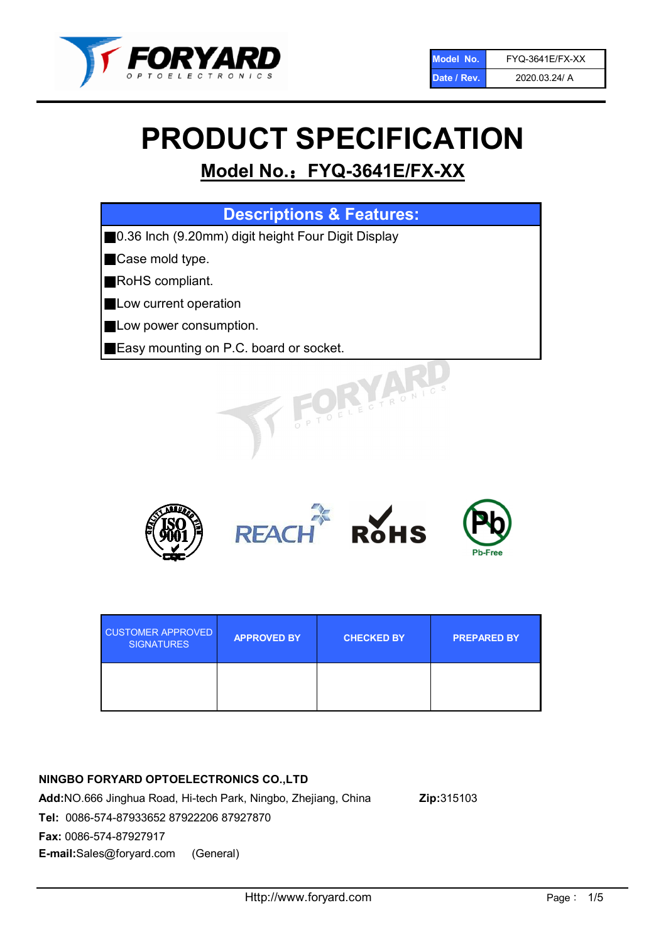

# PRODUCT SPECIFICATION

# Model No.: FYQ-3641E/FX-XX

| <b>Descriptions &amp; Features:</b>                |
|----------------------------------------------------|
| 0.36 Inch (9.20mm) digit height Four Digit Display |
| Case mold type.                                    |
| RoHS compliant.                                    |
| Low current operation                              |
| Low power consumption.                             |
| Easy mounting on P.C. board or socket.             |
| TOELECTRONIC                                       |



| <b>CUSTOMER APPROVED</b><br><b>SIGNATURES</b> | <b>APPROVED BY</b> | <b>CHECKED BY</b> | <b>PREPARED BY</b> |
|-----------------------------------------------|--------------------|-------------------|--------------------|
|                                               |                    |                   |                    |

# NINGBO FORYARD OPTOELECTRONICS CO.,LTD

Add:NO.666 Jinghua Road, Hi-tech Park, Ningbo, Zhejiang, China Zip:315103 Tel: 0086-574-87933652 87922206 87927870 Fax: 0086-574-87927917 E-mail:Sales@foryard.com (General)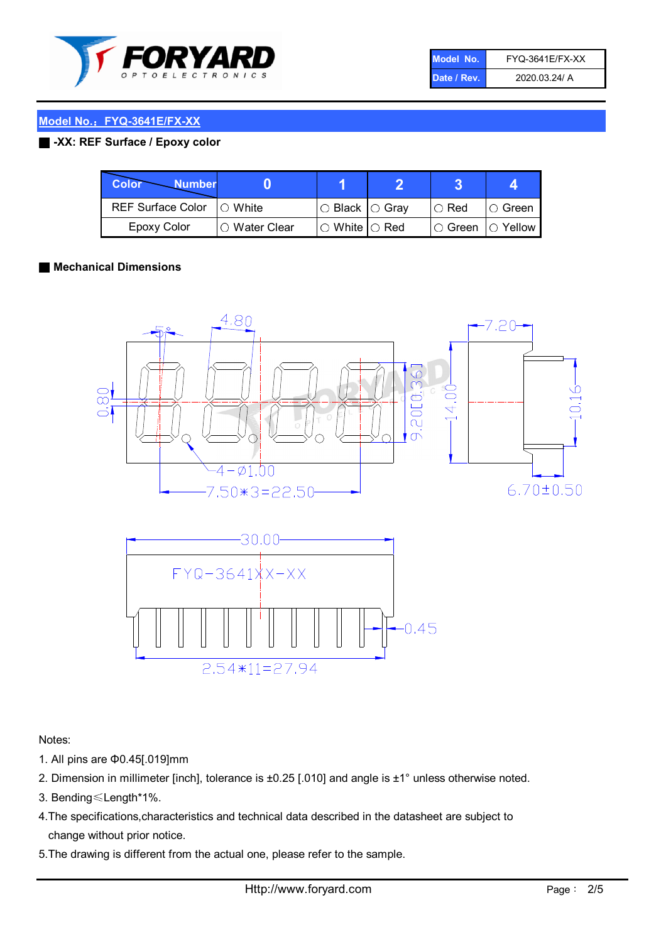

| Model No.   | <b>FYQ-3641E/FX-XX</b> |
|-------------|------------------------|
| Date / Rev. | 2020.03.24/ A          |

#### ■ -XX: REF Surface / Epoxy color

| Color<br><b>Number</b>      |                |                                                   |             |                |
|-----------------------------|----------------|---------------------------------------------------|-------------|----------------|
| REF Surface Color   O White |                | ○ Black  ○ Gray                                   | $\circ$ Red | $\circ$ Green  |
| Epoxy Color                 | I⊖ Water Clear | $\mathbin{\varcap}$ White $\mathbin{\varcap}$ Red | IO Green∶   | $\circ$ Yellow |

#### ■ Mechanical Dimensions





Notes:

- 1. All pins are Φ0.45[.019]mm
- 2. Dimension in millimeter [inch], tolerance is ±0.25 [.010] and angle is ±1° unless otherwise noted.
- 3. Bending≤Length\*1%.
- 4.The specifications,characteristics and technical data described in the datasheet are subject to change without prior notice.
- 5.The drawing is different from the actual one, please refer to the sample.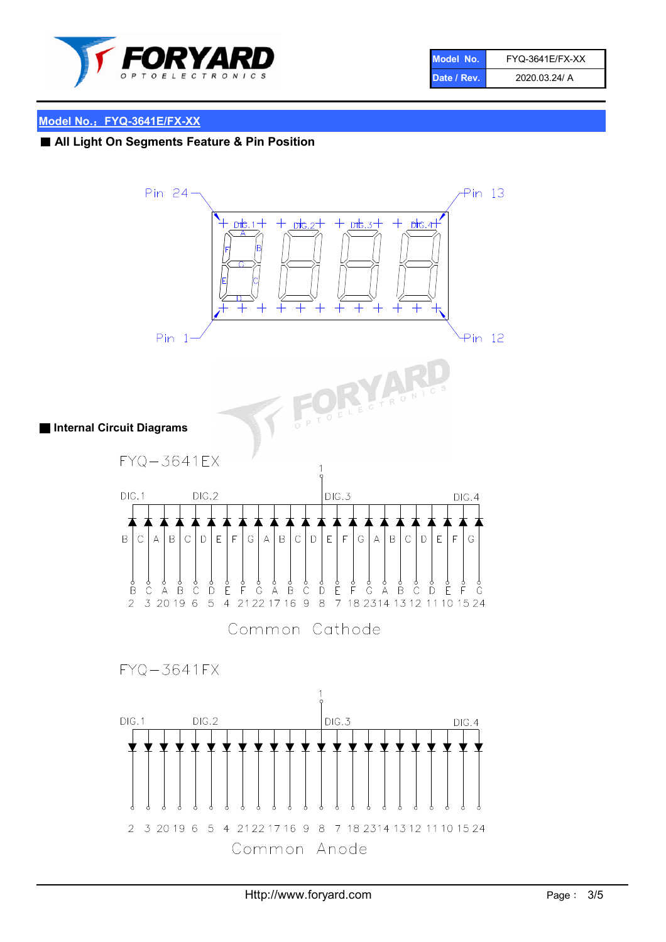

| Model No.   | FYQ-3641E/FX-XX |
|-------------|-----------------|
| Date / Rev. | 2020.03.24/ A   |

# ■ All Light On Segments Feature & Pin Position

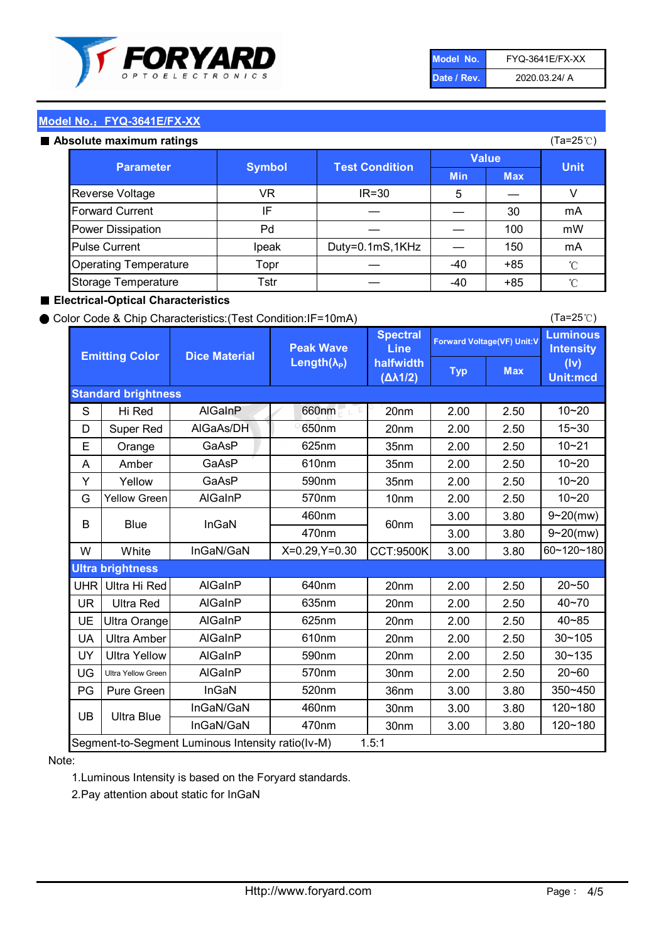

| Model No.   | <b>FYQ-3641E/FX-XX</b> |
|-------------|------------------------|
| Date / Rev. | 2020.03.24/ A          |

#### Absolute maximum ratings

| סטוענ <del>ס</del> וווסגוווועווו ו סוווועס |               |                       |              |            | $(1a-ZUV)$   |
|--------------------------------------------|---------------|-----------------------|--------------|------------|--------------|
| <b>Parameter</b>                           | <b>Symbol</b> | <b>Test Condition</b> | <b>Value</b> |            | <b>Unit</b>  |
|                                            |               |                       | <b>Min</b>   | <b>Max</b> |              |
| <b>Reverse Voltage</b>                     | VR            | $IR = 30$             | 5            |            |              |
| <b>Forward Current</b>                     | IF            |                       |              | 30         | mA           |
| Power Dissipation                          | Pd            |                       |              | 100        | mW           |
| <b>Pulse Current</b>                       | Ipeak         | Duty=0.1mS,1KHz       |              | 150        | mA           |
| <b>Operating Temperature</b>               | Topr          |                       | $-40$        | $+85$      | $^{\circ}$ C |
| Storage Temperature                        | Tstr          |                       | $-40$        | $+85$      | °C           |

#### ■ Electrical-Optical Characteristics

#### ● Color Code & Chip Characteristics:(Test Condition:IF=10mA)

Typ Max S | Hi $\textsf{Red}$  | AlGaInP | 660nm LE 20nm | 2.00 | 2.50 D | Super Red | AIGaAs/DH | 650nm | 20nm | 2.00 | 2.50 E | Orange | GaAsP | 625nm | 35nm | 2.00 | 2.50 A | Amber | GaAsP | 610nm | 35nm | 2.00 | 2.50 Y | Yellow | GaAsP | 590nm | 35nm | 2.00 | 2.50 G Yellow Green AIGaInP | 570nm | 10nm | 2.00 | 2.50 3.00 3.80 3.00 3.80 W | White | InGaN/GaN | X=0.29,Y=0.30 |CCT:9500K| 3.00 | 3.80 UHR Ultra Hi Red  $\vert$  AIGaInP  $\vert$  640nm  $\vert$  20nm  $\vert$  2.00  $\vert$  2.50 UR | Ultra Red | AlGaInP | 635nm | 20nm | 2.00 | 2.50 UE Ultra Orange | AIGaInP | 625nm | 20nm | 2.00 | 2.50 UA Ultra Amber | AIGaInP | 610nm | 20nm | 2.00 | 2.50  $UV$  Ultra Yellow  $\vert$  AlGaInP  $\vert$  590nm  $\vert$  20nm  $\vert$  2.00  $\vert$  2.50  $\text{UG}$  Ultra Yellow Green | AIGaInP | 570nm | 30nm | 2.00 | 2.50 PG Pure Green | InGaN | 520nm | 36nm | 3.00 | 3.80 30nm 3.00 3.80 30nm 3.00 3.80 10~20 Standard brightness Forward Voltage(VF) Unit:V 15~30 10~20 10~20 625nm GaAsP 590nm **Emitting Color Dice Material** 10~21 610nm Luminous **Intensity** (Iv) Unit:mcd AlGainP 660nm GaAsP GaAsP AlGaAs/DH **Spectral** Line halfwidth (∆λ1/2) Peak Wave Length $(\lambda_{\rm P})$ UB 460nm 635nm AlGaInP AlGaInP AlGaInP InGaN/GaN AlGaInP | 570nm | 10nm | 2.00 | 2.50 | 10~20 30~105 30~135 460nm 520nm Ultra brightness **AlGaInP** AlGaInP 60nm AlGaInP 640nm Segment-to-Segment Luminous Intensity ratio(Iv-M) 1.5:1 610nm 9~20(mw) 350~450 470nm 120~180 120~180 Ultra Blue InGaN/GaN 9~20(mw) 20~50 570nm | 30nm | 2.00 | 2.50 | 20~60 470nm 590nm InGaN/GaN B Blue I InGaN 40~85 60~120~180 40~70

#### Note:

1.Luminous Intensity is based on the Foryard standards.

2.Pay attention about static for InGaN

(Ta=25℃)

(Ta=25℃)